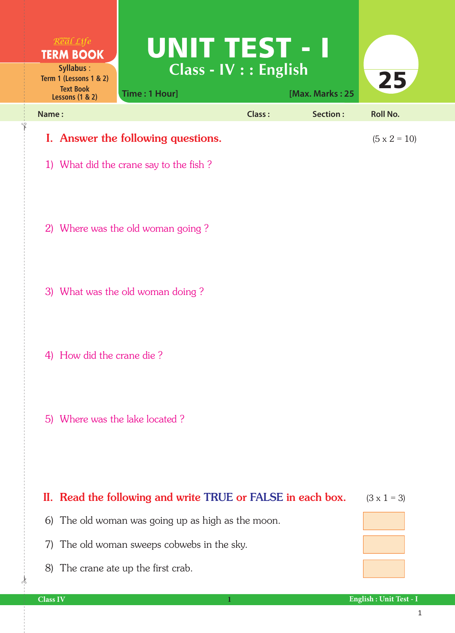| $R$ <sup>org</sup> al Life<br><b>TERM BOOK</b><br><b>Syllabus:</b><br>Term 1 (Lessons 1 & 2)<br><b>Text Book</b><br><b>Lessons (1 &amp; 2)</b> | UNIT TEST - I<br>Class - IV : : English<br>Time: 1 Hour]                     |               | [Max. Marks: 25 | 25                  |
|------------------------------------------------------------------------------------------------------------------------------------------------|------------------------------------------------------------------------------|---------------|-----------------|---------------------|
| Name:                                                                                                                                          |                                                                              | <b>Class:</b> | Section:        | <b>Roll No.</b>     |
|                                                                                                                                                | I. Answer the following questions.<br>1) What did the crane say to the fish? |               |                 | $(5 \times 2 = 10)$ |
|                                                                                                                                                | 2) Where was the old woman going?                                            |               |                 |                     |
|                                                                                                                                                | 3) What was the old woman doing?                                             |               |                 |                     |
| 4) How did the crane die?                                                                                                                      |                                                                              |               |                 |                     |
| 5) Where was the lake located?                                                                                                                 |                                                                              |               |                 |                     |
|                                                                                                                                                | II. Read the following and write TRUE or FALSE in each box.                  |               |                 | $(3 \times 1 = 3)$  |

|  |  |  | 6) The old woman was going up as high as the moon. |  |
|--|--|--|----------------------------------------------------|--|
|  |  |  |                                                    |  |

- 7) The old woman sweeps cobwebs in the sky.
- 8) The crane ate up the first crab.

 $\frac{1}{2}$ 

✁